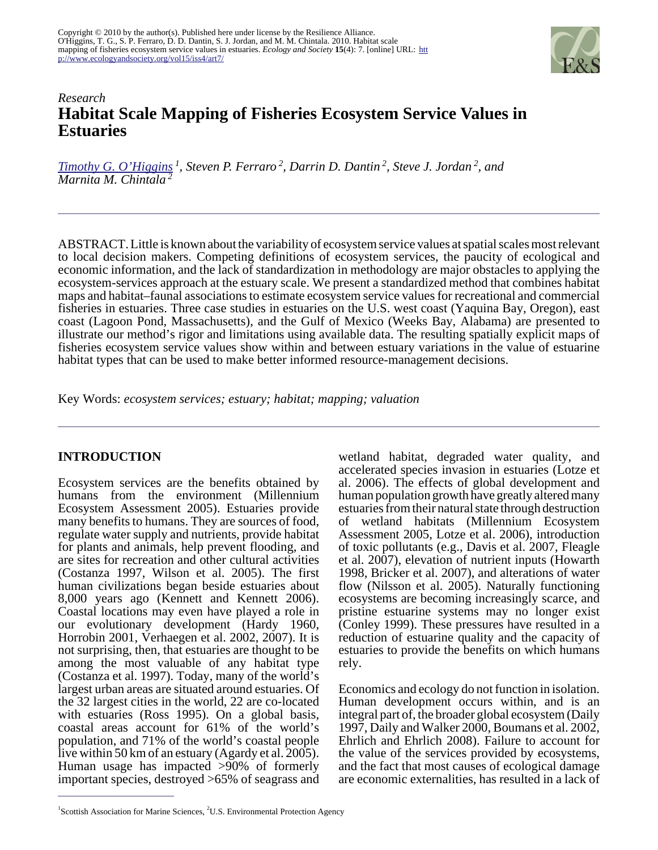

# *Research* **Habitat Scale Mapping of Fisheries Ecosystem Service Values in Estuaries**

*[Timothy G. O'Higgins](mailto:tim.ohiggins@gmail.com)*<sup>1</sup>, Steven P. Ferraro<sup>2</sup>, Darrin D. Dantin<sup>2</sup>, Steve J. Jordan<sup>2</sup>, and *Marnita M. Chintala<sup>2</sup>*

ABSTRACT. Little is known about the variability of ecosystem service values at spatial scales most relevant to local decision makers. Competing definitions of ecosystem services, the paucity of ecological and economic information, and the lack of standardization in methodology are major obstacles to applying the ecosystem-services approach at the estuary scale. We present a standardized method that combines habitat maps and habitat–faunal associations to estimate ecosystem service values for recreational and commercial fisheries in estuaries. Three case studies in estuaries on the U.S. west coast (Yaquina Bay, Oregon), east coast (Lagoon Pond, Massachusetts), and the Gulf of Mexico (Weeks Bay, Alabama) are presented to illustrate our method's rigor and limitations using available data. The resulting spatially explicit maps of fisheries ecosystem service values show within and between estuary variations in the value of estuarine habitat types that can be used to make better informed resource-management decisions.

Key Words: *ecosystem services; estuary; habitat; mapping; valuation* 

### **INTRODUCTION**

Ecosystem services are the benefits obtained by humans from the environment (Millennium Ecosystem Assessment 2005). Estuaries provide many benefits to humans. They are sources of food, regulate water supply and nutrients, provide habitat for plants and animals, help prevent flooding, and are sites for recreation and other cultural activities (Costanza 1997, Wilson et al. 2005). The first human civilizations began beside estuaries about 8,000 years ago (Kennett and Kennett 2006). Coastal locations may even have played a role in our evolutionary development (Hardy 1960, Horrobin 2001, Verhaegen et al. 2002, 2007). It is not surprising, then, that estuaries are thought to be among the most valuable of any habitat type (Costanza et al. 1997). Today, many of the world's largest urban areas are situated around estuaries. Of the 32 largest cities in the world, 22 are co-located with estuaries (Ross 1995). On a global basis, coastal areas account for 61% of the world's population, and 71% of the world's coastal people live within 50 km of an estuary (Agardy et al. 2005). Human usage has impacted >90% of formerly important species, destroyed >65% of seagrass and

wetland habitat, degraded water quality, and accelerated species invasion in estuaries (Lotze et al. 2006). The effects of global development and human population growth have greatly altered many estuaries from their natural state through destruction of wetland habitats (Millennium Ecosystem Assessment 2005, Lotze et al. 2006), introduction of toxic pollutants (e.g., Davis et al. 2007, Fleagle et al. 2007), elevation of nutrient inputs (Howarth 1998, Bricker et al. 2007), and alterations of water flow (Nilsson et al. 2005). Naturally functioning ecosystems are becoming increasingly scarce, and pristine estuarine systems may no longer exist (Conley 1999). These pressures have resulted in a reduction of estuarine quality and the capacity of estuaries to provide the benefits on which humans rely.

Economics and ecology do not function in isolation. Human development occurs within, and is an integral part of, the broader global ecosystem (Daily 1997, Daily and Walker 2000, Boumans et al. 2002, Ehrlich and Ehrlich 2008). Failure to account for the value of the services provided by ecosystems, and the fact that most causes of ecological damage are economic externalities, has resulted in a lack of

<sup>&</sup>lt;sup>1</sup>Scottish Association for Marine Sciences, <sup>2</sup>U.S. Environmental Protection Agency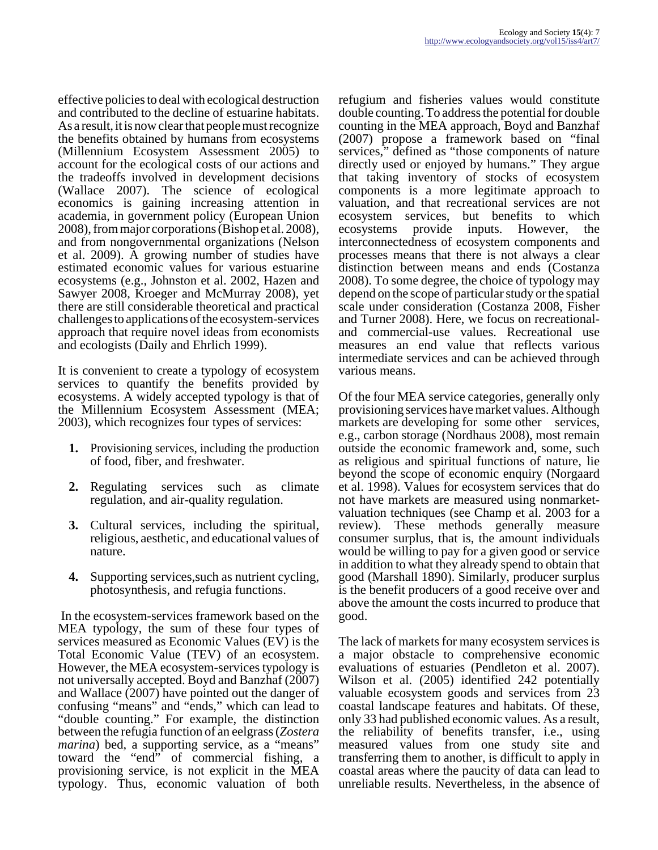effective policies to deal with ecological destruction and contributed to the decline of estuarine habitats. As a result, it is now clear that people must recognize the benefits obtained by humans from ecosystems (Millennium Ecosystem Assessment 2005) to account for the ecological costs of our actions and the tradeoffs involved in development decisions (Wallace 2007). The science of ecological economics is gaining increasing attention in academia, in government policy (European Union 2008), from major corporations (Bishop et al. 2008), and from nongovernmental organizations (Nelson et al. 2009). A growing number of studies have estimated economic values for various estuarine ecosystems (e.g., Johnston et al. 2002, Hazen and Sawyer 2008, Kroeger and McMurray 2008), yet there are still considerable theoretical and practical challenges to applications of the ecosystem-services approach that require novel ideas from economists and ecologists (Daily and Ehrlich 1999).

It is convenient to create a typology of ecosystem services to quantify the benefits provided by ecosystems. A widely accepted typology is that of the Millennium Ecosystem Assessment (MEA; 2003), which recognizes four types of services:

- **1.** Provisioning services, including the production of food, fiber, and freshwater.
- **2.** Regulating services such as climate regulation, and air-quality regulation.
- **3.** Cultural services, including the spiritual, religious, aesthetic, and educational values of nature.
- **4.** Supporting services,such as nutrient cycling, photosynthesis, and refugia functions.

 In the ecosystem-services framework based on the MEA typology, the sum of these four types of services measured as Economic Values (EV) is the Total Economic Value (TEV) of an ecosystem. However, the MEA ecosystem-services typology is not universally accepted. Boyd and Banzhaf (2007) and Wallace (2007) have pointed out the danger of confusing "means" and "ends," which can lead to "double counting." For example, the distinction between the refugia function of an eelgrass (*Zostera marina*) bed, a supporting service, as a "means" toward the "end" of commercial fishing, a provisioning service, is not explicit in the MEA typology. Thus, economic valuation of both

refugium and fisheries values would constitute double counting. To address the potential for double counting in the MEA approach, Boyd and Banzhaf (2007) propose a framework based on "final services," defined as "those components of nature directly used or enjoyed by humans." They argue that taking inventory of stocks of ecosystem components is a more legitimate approach to valuation, and that recreational services are not ecosystem services, but benefits to which ecosystems provide inputs. However, the interconnectedness of ecosystem components and processes means that there is not always a clear distinction between means and ends (Costanza 2008). To some degree, the choice of typology may depend on the scope of particular study or the spatial scale under consideration (Costanza 2008, Fisher and Turner 2008). Here, we focus on recreationaland commercial-use values. Recreational use measures an end value that reflects various intermediate services and can be achieved through various means.

Of the four MEA service categories, generally only provisioning services have market values. Although markets are developing for some other services, e.g., carbon storage (Nordhaus 2008), most remain outside the economic framework and, some, such as religious and spiritual functions of nature, lie beyond the scope of economic enquiry (Norgaard et al. 1998). Values for ecosystem services that do not have markets are measured using nonmarketvaluation techniques (see Champ et al. 2003 for a review). These methods generally measure consumer surplus, that is, the amount individuals would be willing to pay for a given good or service in addition to what they already spend to obtain that good (Marshall 1890). Similarly, producer surplus is the benefit producers of a good receive over and above the amount the costs incurred to produce that good.

The lack of markets for many ecosystem services is a major obstacle to comprehensive economic evaluations of estuaries (Pendleton et al. 2007). Wilson et al. (2005) identified 242 potentially valuable ecosystem goods and services from 23 coastal landscape features and habitats. Of these, only 33 had published economic values. As a result, the reliability of benefits transfer, i.e., using measured values from one study site and transferring them to another, is difficult to apply in coastal areas where the paucity of data can lead to unreliable results. Nevertheless, in the absence of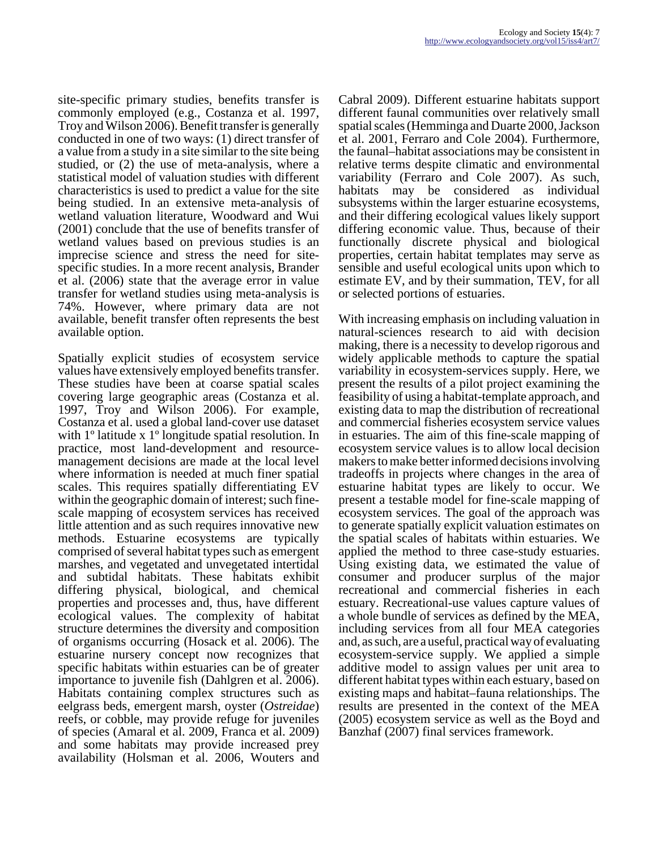site-specific primary studies, benefits transfer is commonly employed (e.g., Costanza et al. 1997, Troy and Wilson 2006). Benefit transfer is generally conducted in one of two ways: (1) direct transfer of a value from a study in a site similar to the site being studied, or (2) the use of meta-analysis, where a statistical model of valuation studies with different characteristics is used to predict a value for the site being studied. In an extensive meta-analysis of wetland valuation literature, Woodward and Wui (2001) conclude that the use of benefits transfer of wetland values based on previous studies is an imprecise science and stress the need for sitespecific studies. In a more recent analysis, Brander et al. (2006) state that the average error in value transfer for wetland studies using meta-analysis is 74%. However, where primary data are not available, benefit transfer often represents the best available option.

Spatially explicit studies of ecosystem service values have extensively employed benefits transfer. These studies have been at coarse spatial scales covering large geographic areas (Costanza et al. 1997, Troy and Wilson 2006). For example, Costanza et al. used a global land-cover use dataset with 1<sup>°</sup> latitude x 1<sup>°</sup> longitude spatial resolution. In practice, most land-development and resourcemanagement decisions are made at the local level where information is needed at much finer spatial scales. This requires spatially differentiating EV within the geographic domain of interest; such finescale mapping of ecosystem services has received little attention and as such requires innovative new methods. Estuarine ecosystems are typically comprised of several habitat types such as emergent marshes, and vegetated and unvegetated intertidal and subtidal habitats. These habitats exhibit differing physical, biological, and chemical properties and processes and, thus, have different ecological values. The complexity of habitat structure determines the diversity and composition of organisms occurring (Hosack et al. 2006). The estuarine nursery concept now recognizes that specific habitats within estuaries can be of greater importance to juvenile fish (Dahlgren et al. 2006). Habitats containing complex structures such as eelgrass beds, emergent marsh, oyster (*Ostreidae*) reefs, or cobble, may provide refuge for juveniles of species (Amaral et al. 2009, Franca et al. 2009) and some habitats may provide increased prey availability (Holsman et al. 2006, Wouters and

Cabral 2009). Different estuarine habitats support different faunal communities over relatively small spatial scales (Hemminga and Duarte 2000, Jackson et al. 2001, Ferraro and Cole 2004). Furthermore, the faunal–habitat associations may be consistent in relative terms despite climatic and environmental variability (Ferraro and Cole 2007). As such, habitats may be considered as individual subsystems within the larger estuarine ecosystems, and their differing ecological values likely support differing economic value. Thus, because of their functionally discrete physical and biological properties, certain habitat templates may serve as sensible and useful ecological units upon which to estimate EV, and by their summation, TEV, for all or selected portions of estuaries.

With increasing emphasis on including valuation in natural-sciences research to aid with decision making, there is a necessity to develop rigorous and widely applicable methods to capture the spatial variability in ecosystem-services supply. Here, we present the results of a pilot project examining the feasibility of using a habitat-template approach, and existing data to map the distribution of recreational and commercial fisheries ecosystem service values in estuaries. The aim of this fine-scale mapping of ecosystem service values is to allow local decision makers to make better informed decisions involving tradeoffs in projects where changes in the area of estuarine habitat types are likely to occur. We present a testable model for fine-scale mapping of ecosystem services. The goal of the approach was to generate spatially explicit valuation estimates on the spatial scales of habitats within estuaries. We applied the method to three case-study estuaries. Using existing data, we estimated the value of consumer and producer surplus of the major recreational and commercial fisheries in each estuary. Recreational-use values capture values of a whole bundle of services as defined by the MEA, including services from all four MEA categories and, as such, are a useful, practical way of evaluating ecosystem-service supply. We applied a simple additive model to assign values per unit area to different habitat types within each estuary, based on existing maps and habitat–fauna relationships. The results are presented in the context of the MEA (2005) ecosystem service as well as the Boyd and Banzhaf (2007) final services framework.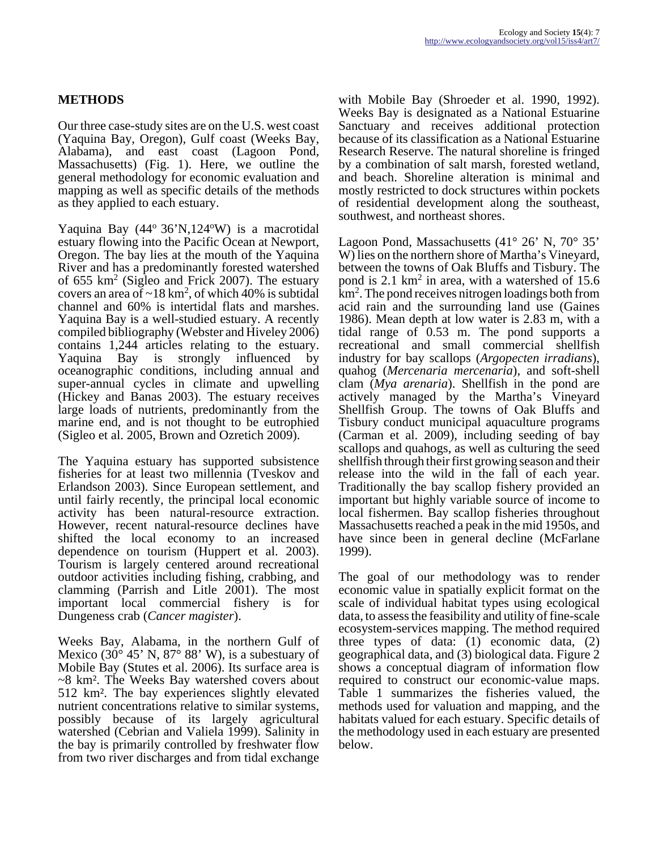# **METHODS**

Our three case-study sites are on the U.S. west coast (Yaquina Bay, Oregon), Gulf coast (Weeks Bay, Alabama), and east coast (Lagoon Pond, Massachusetts) (Fig. 1). Here, we outline the general methodology for economic evaluation and mapping as well as specific details of the methods as they applied to each estuary.

Yaquina Bay  $(44^{\circ} 36^{\prime} N, 124^{\circ} W)$  is a macrotidal estuary flowing into the Pacific Ocean at Newport, Oregon. The bay lies at the mouth of the Yaquina River and has a predominantly forested watershed of 655 km<sup>2</sup> (Sigleo and Frick 2007). The estuary covers an area of  $\sim 18 \text{ km}^2$ , of which 40% is subtidal channel and 60% is intertidal flats and marshes. Yaquina Bay is a well-studied estuary. A recently compiled bibliography (Webster and Hiveley 2006) contains 1,244 articles relating to the estuary.<br>Yaquina Bay is strongly influenced by Yaquina Bay is strongly influenced by oceanographic conditions, including annual and super-annual cycles in climate and upwelling (Hickey and Banas 2003). The estuary receives large loads of nutrients, predominantly from the marine end, and is not thought to be eutrophied (Sigleo et al. 2005, Brown and Ozretich 2009).

The Yaquina estuary has supported subsistence fisheries for at least two millennia (Tveskov and Erlandson 2003). Since European settlement, and until fairly recently, the principal local economic activity has been natural-resource extraction. However, recent natural-resource declines have shifted the local economy to an increased dependence on tourism (Huppert et al. 2003). Tourism is largely centered around recreational outdoor activities including fishing, crabbing, and clamming (Parrish and Litle 2001). The most important local commercial fishery is for Dungeness crab (*Cancer magister*).

Weeks Bay, Alabama, in the northern Gulf of Mexico (30 $\degree$  45' N, 87 $\degree$  88' W), is a subestuary of Mobile Bay (Stutes et al. 2006). Its surface area is ~8 km². The Weeks Bay watershed covers about 512 km². The bay experiences slightly elevated nutrient concentrations relative to similar systems, possibly because of its largely agricultural watershed (Cebrian and Valiela 1999). Salinity in the bay is primarily controlled by freshwater flow from two river discharges and from tidal exchange

with Mobile Bay (Shroeder et al. 1990, 1992). Weeks Bay is designated as a National Estuarine Sanctuary and receives additional protection because of its classification as a National Estuarine Research Reserve. The natural shoreline is fringed by a combination of salt marsh, forested wetland, and beach. Shoreline alteration is minimal and mostly restricted to dock structures within pockets of residential development along the southeast, southwest, and northeast shores.

Lagoon Pond, Massachusetts (41° 26' N, 70° 35' W) lies on the northern shore of Martha's Vineyard, between the towns of Oak Bluffs and Tisbury. The pond is 2.1  $km^2$  in area, with a watershed of 15.6  ${\rm \bar{k}}$ m $^2$ . The pond receives nitrogen loadings both from acid rain and the surrounding land use (Gaines 1986). Mean depth at low water is 2.83 m, with a tidal range of 0.53 m. The pond supports a recreational and small commercial shellfish industry for bay scallops (*Argopecten irradians*), quahog (*Mercenaria mercenaria*), and soft-shell clam (*Mya arenaria*). Shellfish in the pond are actively managed by the Martha's Vineyard Shellfish Group. The towns of Oak Bluffs and Tisbury conduct municipal aquaculture programs (Carman et al. 2009), including seeding of bay scallops and quahogs, as well as culturing the seed shellfish through their first growing season and their release into the wild in the fall of each year. Traditionally the bay scallop fishery provided an important but highly variable source of income to local fishermen. Bay scallop fisheries throughout Massachusetts reached a peak in the mid 1950s, and have since been in general decline (McFarlane 1999).

The goal of our methodology was to render economic value in spatially explicit format on the scale of individual habitat types using ecological data, to assess the feasibility and utility of fine-scale ecosystem-services mapping. The method required three types of data: (1) economic data, (2) geographical data, and (3) biological data. Figure 2 shows a conceptual diagram of information flow required to construct our economic-value maps. Table 1 summarizes the fisheries valued, the methods used for valuation and mapping, and the habitats valued for each estuary. Specific details of the methodology used in each estuary are presented below.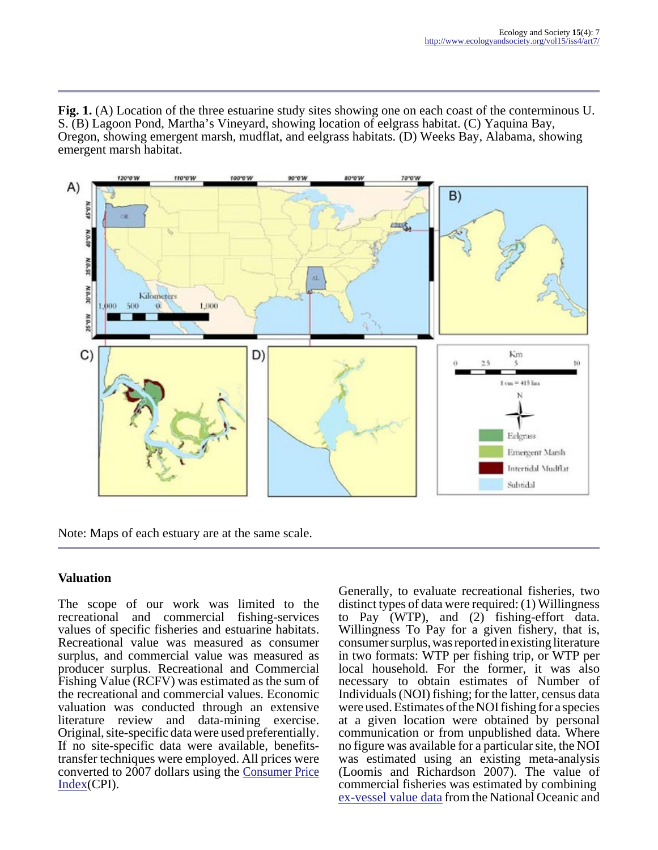**Fig. 1.** (A) Location of the three estuarine study sites showing one on each coast of the conterminous U. S. (B) Lagoon Pond, Martha's Vineyard, showing location of eelgrass habitat. (C) Yaquina Bay, Oregon, showing emergent marsh, mudflat, and eelgrass habitats. (D) Weeks Bay, Alabama, showing emergent marsh habitat.



Note: Maps of each estuary are at the same scale.

# **Valuation**

The scope of our work was limited to the recreational and commercial fishing-services values of specific fisheries and estuarine habitats. Recreational value was measured as consumer surplus, and commercial value was measured as producer surplus. Recreational and Commercial Fishing Value (RCFV) was estimated as the sum of the recreational and commercial values. Economic valuation was conducted through an extensive literature review and data-mining exercise. Original, site-specific data were used preferentially. If no site-specific data were available, benefitstransfer techniques were employed. All prices were converted to 2007 dollars using the [Consumer Price](http://data.bls.gov/cgi-bin/cpicalc.pl) [Index](http://data.bls.gov/cgi-bin/cpicalc.pl)(CPI).

Generally, to evaluate recreational fisheries, two distinct types of data were required: (1) Willingness to Pay (WTP), and (2) fishing-effort data. Willingness To Pay for a given fishery, that is, consumer surplus, was reported in existing literature in two formats: WTP per fishing trip, or WTP per local household. For the former, it was also necessary to obtain estimates of Number of Individuals (NOI) fishing; for the latter, census data were used. Estimates of the NOI fishing for a species at a given location were obtained by personal communication or from unpublished data. Where no figure was available for a particular site, the NOI was estimated using an existing meta-analysis (Loomis and Richardson 2007). The value of commercial fisheries was estimated by combining [ex-vessel value data](http://www.st.nmfs.noaa.gov/st1/commercial/landings/annual_landings.html) from the National Oceanic and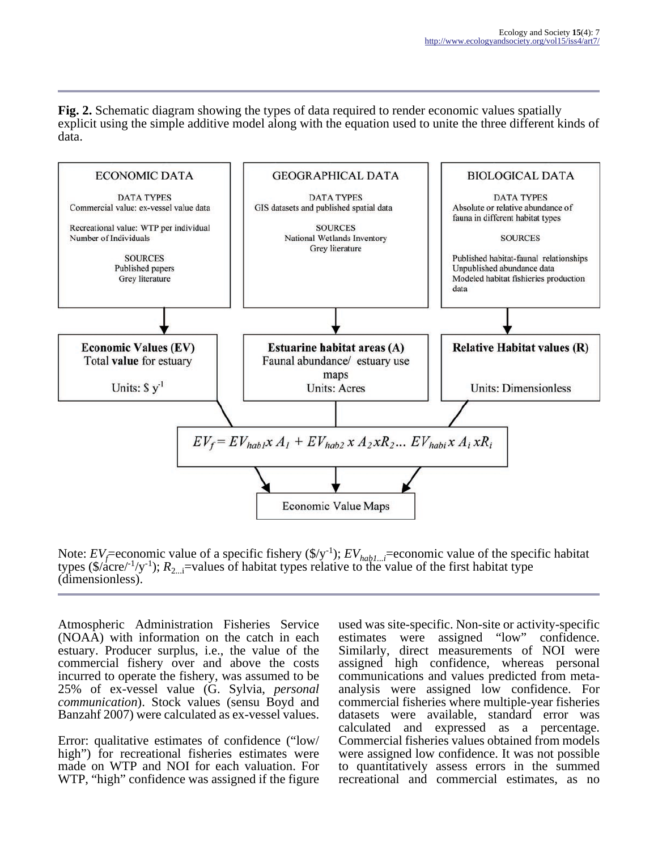**Fig. 2.** Schematic diagram showing the types of data required to render economic values spatially explicit using the simple additive model along with the equation used to unite the three different kinds of data.



Note: *EV<sub>f</sub>*=economic value of a specific fishery (\$/y<sup>-1</sup>); *EV*<sub>*hab1...i*=economic value of the specific habitat</sub> types ( $\frac{s}{\text{degree}}^{-1}/y^{-1}$ );  $R_{2...i}$ =values of habitat types relative to the value of the first habitat type (dimensionless).

Atmospheric Administration Fisheries Service (NOAA) with information on the catch in each estuary. Producer surplus, i.e., the value of the commercial fishery over and above the costs incurred to operate the fishery, was assumed to be 25% of ex-vessel value (G. Sylvia, *personal communication*). Stock values (sensu Boyd and Banzahf 2007) were calculated as ex-vessel values.

Error: qualitative estimates of confidence ("low/ high") for recreational fisheries estimates were made on WTP and NOI for each valuation. For WTP, "high" confidence was assigned if the figure

used was site-specific. Non-site or activity-specific estimates were assigned "low" confidence. Similarly, direct measurements of NOI were assigned high confidence, whereas personal communications and values predicted from metaanalysis were assigned low confidence. For commercial fisheries where multiple-year fisheries datasets were available, standard error was calculated and expressed as a percentage. Commercial fisheries values obtained from models were assigned low confidence. It was not possible to quantitatively assess errors in the summed recreational and commercial estimates, as no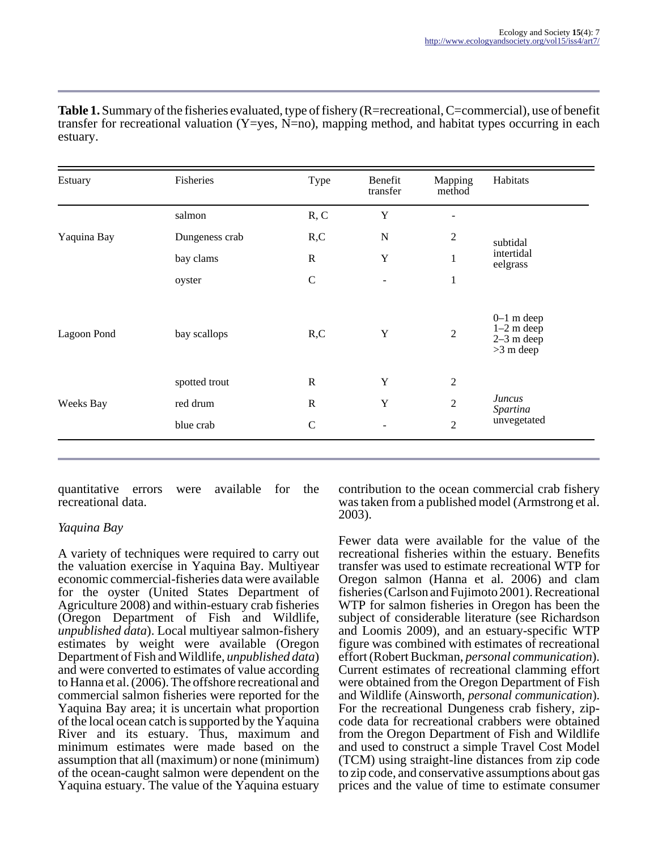| Estuary     | Fisheries      | Type          | Benefit<br>transfer | Mapping<br>method        | Habitats                                                    |  |
|-------------|----------------|---------------|---------------------|--------------------------|-------------------------------------------------------------|--|
|             | salmon         | R, C          | Y                   | $\overline{\phantom{a}}$ |                                                             |  |
| Yaquina Bay | Dungeness crab | R, C          | $\mathbf N$         | $\mathfrak{2}$           | subtidal                                                    |  |
|             | bay clams      | $\mathbf R$   | Y                   | 1                        | intertidal<br>eelgrass                                      |  |
|             | oyster         | $\mathbf C$   |                     | $\mathbf{1}$             |                                                             |  |
| Lagoon Pond | bay scallops   | R, C          | $\mathbf Y$         | $\overline{2}$           | $0-1$ m deep<br>$1-2$ m deep<br>$2-3$ m deep<br>$>3$ m deep |  |
|             | spotted trout  | $\mathbf R$   | Y                   | $\overline{2}$           |                                                             |  |
| Weeks Bay   | red drum       | ${\bf R}$     | Y                   | $\overline{2}$           | <b>Juncus</b><br>Spartina                                   |  |
|             | blue crab      | $\mathcal{C}$ | ۰                   | $\overline{2}$           | unvegetated                                                 |  |

Table 1. Summary of the fisheries evaluated, type of fishery (R=recreational, C=commercial), use of benefit transfer for recreational valuation (Y=yes, N=no), mapping method, and habitat types occurring in each estuary.

quantitative errors were available for the recreational data.

### *Yaquina Bay*

A variety of techniques were required to carry out the valuation exercise in Yaquina Bay. Multiyear economic commercial-fisheries data were available for the oyster (United States Department of Agriculture 2008) and within-estuary crab fisheries (Oregon Department of Fish and Wildlife, *unpublished data*). Local multiyear salmon-fishery estimates by weight were available (Oregon Department of Fish and Wildlife, *unpublished data*) and were converted to estimates of value according to Hanna et al. (2006). The offshore recreational and commercial salmon fisheries were reported for the Yaquina Bay area; it is uncertain what proportion of the local ocean catch is supported by the Yaquina River and its estuary. Thus, maximum and minimum estimates were made based on the assumption that all (maximum) or none (minimum) of the ocean-caught salmon were dependent on the Yaquina estuary. The value of the Yaquina estuary

contribution to the ocean commercial crab fishery was taken from a published model (Armstrong et al. 2003).

Fewer data were available for the value of the recreational fisheries within the estuary. Benefits transfer was used to estimate recreational WTP for Oregon salmon (Hanna et al. 2006) and clam fisheries (Carlson and Fujimoto 2001). Recreational WTP for salmon fisheries in Oregon has been the subject of considerable literature (see Richardson and Loomis 2009), and an estuary-specific WTP figure was combined with estimates of recreational effort (Robert Buckman, *personal communication*). Current estimates of recreational clamming effort were obtained from the Oregon Department of Fish and Wildlife (Ainsworth, *personal communication*). For the recreational Dungeness crab fishery, zipcode data for recreational crabbers were obtained from the Oregon Department of Fish and Wildlife and used to construct a simple Travel Cost Model (TCM) using straight-line distances from zip code to zip code, and conservative assumptions about gas prices and the value of time to estimate consumer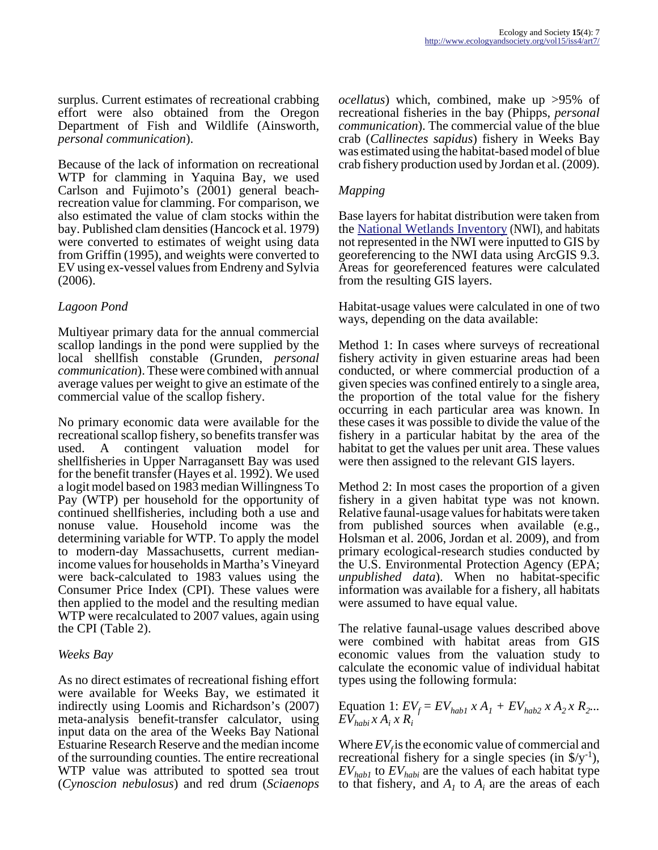surplus. Current estimates of recreational crabbing effort were also obtained from the Oregon Department of Fish and Wildlife (Ainsworth, *personal communication*).

Because of the lack of information on recreational WTP for clamming in Yaquina Bay, we used Carlson and Fujimoto's (2001) general beachrecreation value for clamming. For comparison, we also estimated the value of clam stocks within the bay. Published clam densities (Hancock et al. 1979) were converted to estimates of weight using data from Griffin (1995), and weights were converted to EV using ex-vessel values from Endreny and Sylvia (2006).

### *Lagoon Pond*

Multiyear primary data for the annual commercial scallop landings in the pond were supplied by the local shellfish constable (Grunden, *personal communication*). These were combined with annual average values per weight to give an estimate of the commercial value of the scallop fishery.

No primary economic data were available for the recreational scallop fishery, so benefits transfer was used. A contingent valuation model for shellfisheries in Upper Narragansett Bay was used for the benefit transfer (Hayes et al. 1992). We used a logit model based on 1983 median Willingness To Pay (WTP) per household for the opportunity of continued shellfisheries, including both a use and nonuse value. Household income was the determining variable for WTP. To apply the model to modern-day Massachusetts, current medianincome values for households in Martha's Vineyard were back-calculated to 1983 values using the Consumer Price Index (CPI). These values were then applied to the model and the resulting median WTP were recalculated to 2007 values, again using the CPI (Table 2).

# *Weeks Bay*

As no direct estimates of recreational fishing effort were available for Weeks Bay, we estimated it indirectly using Loomis and Richardson's (2007) meta-analysis benefit-transfer calculator, using input data on the area of the Weeks Bay National Estuarine Research Reserve and the median income of the surrounding counties. The entire recreational WTP value was attributed to spotted sea trout (*Cynoscion nebulosus*) and red drum (*Sciaenops*

*ocellatus*) which, combined, make up >95% of recreational fisheries in the bay (Phipps, *personal communication*). The commercial value of the blue crab (*Callinectes sapidus*) fishery in Weeks Bay was estimated using the habitat-based model of blue crab fishery production used by Jordan et al. (2009).

# *Mapping*

Base layers for habitat distribution were taken from the [National Wetlands Inventory](http://www.fws.gov/wetlands/) (NWI), and habitats not represented in the NWI were inputted to GIS by georeferencing to the NWI data using ArcGIS 9.3. Areas for georeferenced features were calculated from the resulting GIS layers.

Habitat-usage values were calculated in one of two ways, depending on the data available:

Method 1: In cases where surveys of recreational fishery activity in given estuarine areas had been conducted, or where commercial production of a given species was confined entirely to a single area, the proportion of the total value for the fishery occurring in each particular area was known. In these cases it was possible to divide the value of the fishery in a particular habitat by the area of the habitat to get the values per unit area. These values were then assigned to the relevant GIS layers.

Method 2: In most cases the proportion of a given fishery in a given habitat type was not known. Relative faunal-usage values for habitats were taken from published sources when available (e.g., Holsman et al. 2006, Jordan et al. 2009), and from primary ecological-research studies conducted by the U.S. Environmental Protection Agency (EPA; *unpublished data*). When no habitat-specific information was available for a fishery, all habitats were assumed to have equal value.

The relative faunal-usage values described above were combined with habitat areas from GIS economic values from the valuation study to calculate the economic value of individual habitat types using the following formula:

Equation 1:  $EV_f = EV_{hab1} \times A_1 + EV_{hab2} \times A_2 \times R_2$ ...  $EV_{habi}$   $x A_i x R_i$ 

Where  $EV_f$  is the economic value of commercial and recreational fishery for a single species (in  $\frac{f}{f}$ ), *EVhab1* to *EVhabi* are the values of each habitat type to that fishery, and  $A<sub>1</sub>$  to  $A<sub>i</sub>$  are the areas of each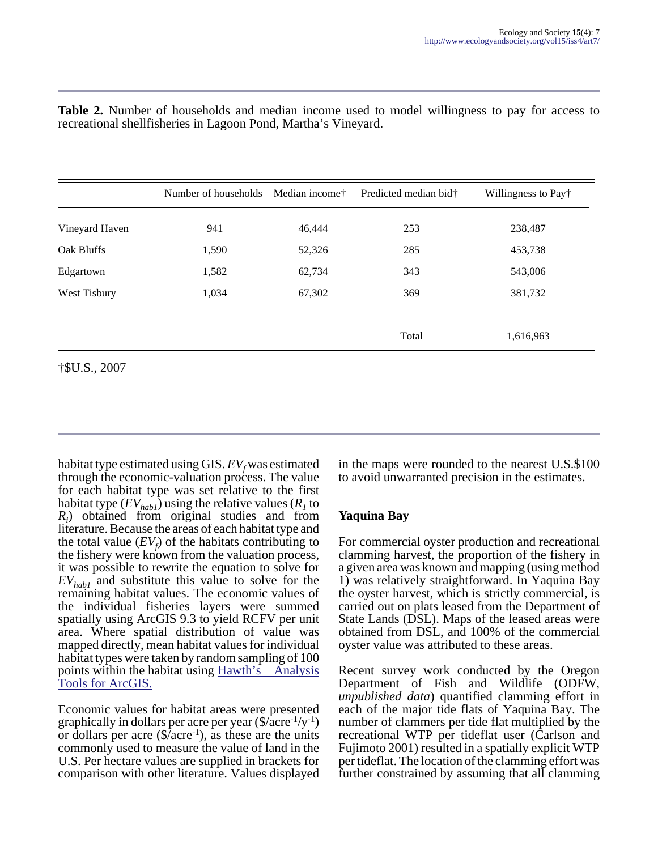|                | Number of households | Median income† | Predicted median bid† | Willingness to Pay† |
|----------------|----------------------|----------------|-----------------------|---------------------|
| Vineyard Haven | 941                  | 46,444         | 253                   | 238,487             |
| Oak Bluffs     | 1,590                | 52,326         | 285                   | 453,738             |
| Edgartown      | 1,582                | 62,734         | 343                   | 543,006             |
| West Tisbury   | 1,034                | 67,302         | 369                   | 381,732             |
|                |                      |                | Total                 | 1,616,963           |

**Table 2.** Number of households and median income used to model willingness to pay for access to recreational shellfisheries in Lagoon Pond, Martha's Vineyard.

†\$U.S., 2007

habitat type estimated using GIS. *EV<sup>f</sup>* was estimated through the economic-valuation process. The value for each habitat type was set relative to the first habitat type  $(EV_{hab1})$  using the relative values  $(R<sub>1</sub>$  to *Ri* ) obtained from original studies and from literature. Because the areas of each habitat type and the total value  $(EV_f)$  of the habitats contributing to the fishery were known from the valuation process, it was possible to rewrite the equation to solve for *EVhab1* and substitute this value to solve for the remaining habitat values. The economic values of the individual fisheries layers were summed spatially using ArcGIS 9.3 to yield RCFV per unit area. Where spatial distribution of value was mapped directly, mean habitat values for individual habitat types were taken by random sampling of 100 points within the habitat using [Hawth's Analysis](http://www.spatialecology.com/htools/tooldesc.php) [Tools for ArcGIS.](http://www.spatialecology.com/htools/tooldesc.php)

Economic values for habitat areas were presented graphically in dollars per acre per year  $(\frac{2}{\text{arc}}-1/\text{y}^{-1})$ or dollars per acre  $(\sqrt{s}/\text{acre}^{-1})$ , as these are the units commonly used to measure the value of land in the U.S. Per hectare values are supplied in brackets for comparison with other literature. Values displayed

in the maps were rounded to the nearest U.S.\$100 to avoid unwarranted precision in the estimates.

### **Yaquina Bay**

For commercial oyster production and recreational clamming harvest, the proportion of the fishery in a given area was known and mapping (using method 1) was relatively straightforward. In Yaquina Bay the oyster harvest, which is strictly commercial, is carried out on plats leased from the Department of State Lands (DSL). Maps of the leased areas were obtained from DSL, and 100% of the commercial oyster value was attributed to these areas.

Recent survey work conducted by the Oregon Department of Fish and Wildlife (ODFW, *unpublished data*) quantified clamming effort in each of the major tide flats of Yaquina Bay. The number of clammers per tide flat multiplied by the recreational WTP per tideflat user (Carlson and Fujimoto 2001) resulted in a spatially explicit WTP per tideflat. The location of the clamming effort was further constrained by assuming that all clamming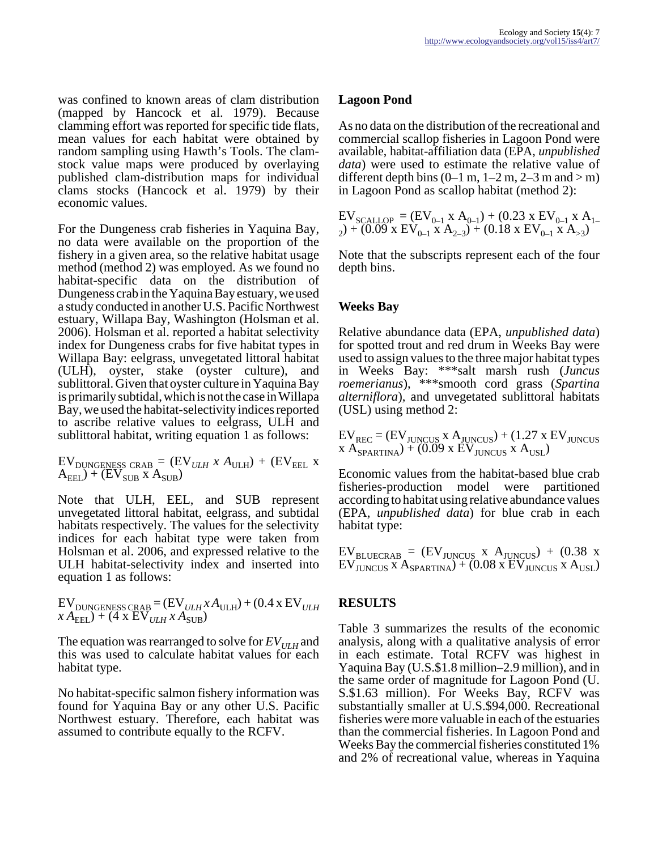was confined to known areas of clam distribution (mapped by Hancock et al. 1979). Because clamming effort was reported for specific tide flats, mean values for each habitat were obtained by random sampling using Hawth's Tools. The clamstock value maps were produced by overlaying published clam-distribution maps for individual clams stocks (Hancock et al. 1979) by their economic values.

For the Dungeness crab fisheries in Yaquina Bay, no data were available on the proportion of the fishery in a given area, so the relative habitat usage method (method 2) was employed. As we found no habitat-specific data on the distribution of Dungeness crab in the Yaquina Bay estuary, we used a study conducted in another U.S. Pacific Northwest estuary, Willapa Bay, Washington (Holsman et al. 2006). Holsman et al. reported a habitat selectivity index for Dungeness crabs for five habitat types in Willapa Bay: eelgrass, unvegetated littoral habitat (ULH), oyster, stake (oyster culture), and sublittoral. Given that oyster culture in Yaquina Bay is primarily subtidal, which is not the case in Willapa Bay, we used the habitat-selectivity indices reported to ascribe relative values to eelgrass, ULH and sublittoral habitat, writing equation 1 as follows:

 $\text{EV}_{\text{DUNGENESS}}$  crab =  $(\text{EV}_{\text{ULH}} x A_{\text{ULH}}) + (\text{EV}_{\text{EEL}} x)$  $A_{\text{EEL}}$ ) + (EV<sub>SUB</sub> x A<sub>SUB</sub>)

Note that ULH, EEL, and SUB represent unvegetated littoral habitat, eelgrass, and subtidal habitats respectively. The values for the selectivity indices for each habitat type were taken from Holsman et al. 2006, and expressed relative to the ULH habitat-selectivity index and inserted into equation 1 as follows:

 $\text{EV}_{\text{DUNGENESS CRAB}} = (\text{EV}_{\text{ULH}} x A_{\text{ULH}}) + (0.4 \text{ x } \text{EV}_{\text{ULH}})$  $(X \overline{A_{\text{EEL}}}) + (4 \overline{X} \overline{EV_{ULH}} X \overline{A_{\text{SUB}}})$ 

The equation was rearranged to solve for  $EV_{ULH}$  and this was used to calculate habitat values for each habitat type.

No habitat-specific salmon fishery information was found for Yaquina Bay or any other U.S. Pacific Northwest estuary. Therefore, each habitat was assumed to contribute equally to the RCFV.

### **Lagoon Pond**

As no data on the distribution of the recreational and commercial scallop fisheries in Lagoon Pond were available, habitat-affiliation data (EPA, *unpublished data*) were used to estimate the relative value of different depth bins  $(0-1 \text{ m}, 1-2 \text{ m}, 2-3 \text{ m} \text{ and } > \text{ m})$ in Lagoon Pond as scallop habitat (method 2):

$$
EV_{\text{SCALLOP}} = (EV_{0-1} x A_{0-1}) + (0.23 x EV_{0-1} x A_{1-2}) + (0.09 x EV_{0-1} x A_{2-3}) + (0.18 x EV_{0-1} x A_{3})
$$

Note that the subscripts represent each of the four depth bins.

### **Weeks Bay**

Relative abundance data (EPA, *unpublished data*) for spotted trout and red drum in Weeks Bay were used to assign values to the three major habitat types in Weeks Bay: \*\*\*salt marsh rush (*Juncus roemerianus*), \*\*\*smooth cord grass (*Spartina alterniflora*), and unvegetated sublittoral habitats (USL) using method 2:

 $EV_{REC} = (EV_{JUNCUS} \times A_{JUNCUS}) + (1.27 \times EV_{JUNCUS})$  $\overline{X}$  A<sub>SPARTINA</sub>) + (0.09  $\overline{X}$  EV<sub>JUNCUS</sub>  $\overline{X}$  A<sub>USL</sub>)

Economic values from the habitat-based blue crab fisheries-production model were partitioned according to habitat using relative abundance values (EPA, *unpublished data*) for blue crab in each habitat type:

 $\text{EV}_{\text{BLUECRAB}} = (\text{EV}_{\text{JUNCUS}} \times \text{A}_{\text{JUNCUS}}) + (0.38 \times$  $EV_{JUNCUS}$  x  $A_{SPARTINA})$  + (0.08 x EV<sub>JUNCUS</sub> x  $A_{USL}$ )

### **RESULTS**

Table 3 summarizes the results of the economic analysis, along with a qualitative analysis of error in each estimate. Total RCFV was highest in Yaquina Bay (U.S.\$1.8 million–2.9 million), and in the same order of magnitude for Lagoon Pond (U. S.\$1.63 million). For Weeks Bay, RCFV was substantially smaller at U.S.\$94,000. Recreational fisheries were more valuable in each of the estuaries than the commercial fisheries. In Lagoon Pond and Weeks Bay the commercial fisheries constituted 1% and 2% of recreational value, whereas in Yaquina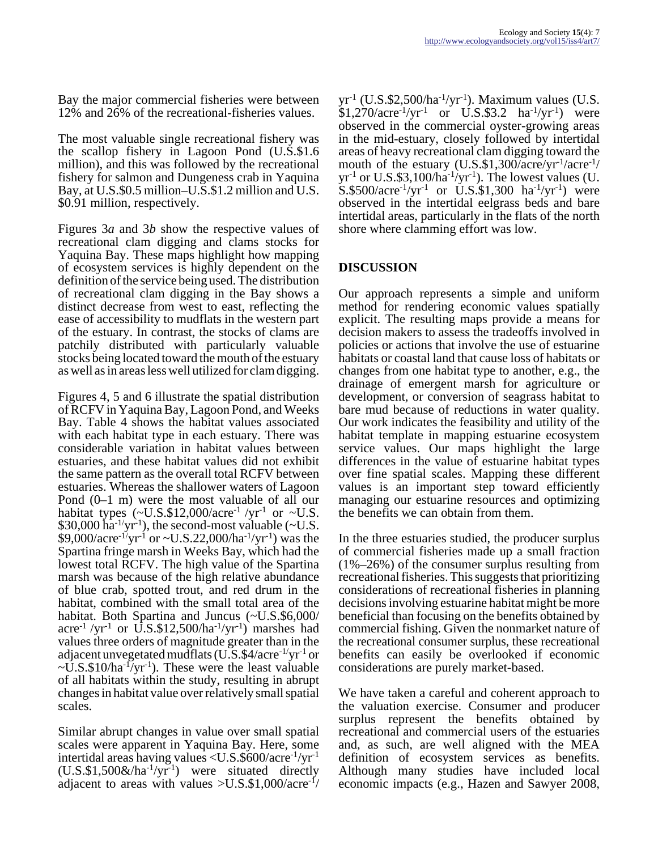Bay the major commercial fisheries were between 12% and 26% of the recreational-fisheries values.

The most valuable single recreational fishery was the scallop fishery in Lagoon Pond (U.S.\$1.6 million), and this was followed by the recreational fishery for salmon and Dungeness crab in Yaquina Bay, at U.S.\$0.5 million–U.S.\$1.2 million and U.S. \$0.91 million, respectively.

Figures 3*a* and 3*b* show the respective values of recreational clam digging and clams stocks for Yaquina Bay. These maps highlight how mapping of ecosystem services is highly dependent on the definition of the service being used. The distribution of recreational clam digging in the Bay shows a distinct decrease from west to east, reflecting the ease of accessibility to mudflats in the western part of the estuary. In contrast, the stocks of clams are patchily distributed with particularly valuable stocks being located toward the mouth of the estuary as well as in areas less well utilized for clam digging.

Figures 4, 5 and 6 illustrate the spatial distribution of RCFV in Yaquina Bay, Lagoon Pond, and Weeks Bay. Table 4 shows the habitat values associated with each habitat type in each estuary. There was considerable variation in habitat values between estuaries, and these habitat values did not exhibit the same pattern as the overall total RCFV between estuaries. Whereas the shallower waters of Lagoon Pond (0–1 m) were the most valuable of all our habitat types  $({\sim}U.S.\$12,000/acre^{-1}/yr^{-1}$  or  ${\sim}U.S.$ \$30,000  $\hat{h}a^{-1}yr^{-1}$ ), the second-most valuable (~U.S. \$9,000/acre-<sup>1/</sup>yr<sup>-1</sup> or ~U.S.22,000/ha<sup>-1</sup>/yr<sup>-1</sup>) was the Spartina fringe marsh in Weeks Bay, which had the lowest total RCFV. The high value of the Spartina marsh was because of the high relative abundance of blue crab, spotted trout, and red drum in the habitat, combined with the small total area of the habitat. Both Spartina and Juncus (~U.S.\$6,000/ acre<sup>-1</sup>/yr<sup>-1</sup> or U.S.\$12,500/ha<sup>-1</sup>/yr<sup>-1</sup>) marshes had values three orders of magnitude greater than in the adjacent unvegetated mudflats (U.S.\$4/acre-1/yr-1 or  $\sim U.S.\$10/ha^{-1/}yr^{-1}$ ). These were the least valuable of all habitats within the study, resulting in abrupt changes in habitat value over relatively small spatial scales.

Similar abrupt changes in value over small spatial scales were apparent in Yaquina Bay. Here, some intertidal areas having values <U.S.\$600/acre-1/yr-1  $(U.S. \$1,500\&/\text{ha}^{-1}/\text{yr}^{-1})$  were situated directly adjacent to areas with values  $>U.S.$ \$1,000/acre<sup>-1</sup>/  $yr^{-1}$  (U.S.\$2,500/ha<sup>-1</sup>/yr<sup>-1</sup>). Maximum values (U.S.  $$1,270/acre^{-1}/yr^{-1}$  or U.S.\$3.2 ha<sup>-1</sup>/yr<sup>-1</sup>) were observed in the commercial oyster-growing areas in the mid-estuary, closely followed by intertidal areas of heavy recreational clam digging toward the mouth of the estuary  $(U.S. \$1,300/ \text{acre/yr}^{-1}/ \text{acre}^{-1}/$  $yr^{-1}$  or U.S.\$3,100/ha<sup>-1</sup>/yr<sup>-1</sup>). The lowest values (U. S.\$500/acre<sup>-1</sup>/yr<sup>-1</sup> or U.S.\$1,300 ha<sup>-1</sup>/yr<sup>-1</sup>) were observed in the intertidal eelgrass beds and bare intertidal areas, particularly in the flats of the north shore where clamming effort was low.

#### **DISCUSSION**

Our approach represents a simple and uniform method for rendering economic values spatially explicit. The resulting maps provide a means for decision makers to assess the tradeoffs involved in policies or actions that involve the use of estuarine habitats or coastal land that cause loss of habitats or changes from one habitat type to another, e.g., the drainage of emergent marsh for agriculture or development, or conversion of seagrass habitat to bare mud because of reductions in water quality. Our work indicates the feasibility and utility of the habitat template in mapping estuarine ecosystem service values. Our maps highlight the large differences in the value of estuarine habitat types over fine spatial scales. Mapping these different values is an important step toward efficiently managing our estuarine resources and optimizing the benefits we can obtain from them.

In the three estuaries studied, the producer surplus of commercial fisheries made up a small fraction (1%–26%) of the consumer surplus resulting from recreational fisheries. This suggests that prioritizing considerations of recreational fisheries in planning decisions involving estuarine habitat might be more beneficial than focusing on the benefits obtained by commercial fishing. Given the nonmarket nature of the recreational consumer surplus, these recreational benefits can easily be overlooked if economic considerations are purely market-based.

We have taken a careful and coherent approach to the valuation exercise. Consumer and producer surplus represent the benefits obtained by recreational and commercial users of the estuaries and, as such, are well aligned with the MEA definition of ecosystem services as benefits. Although many studies have included local economic impacts (e.g., Hazen and Sawyer 2008,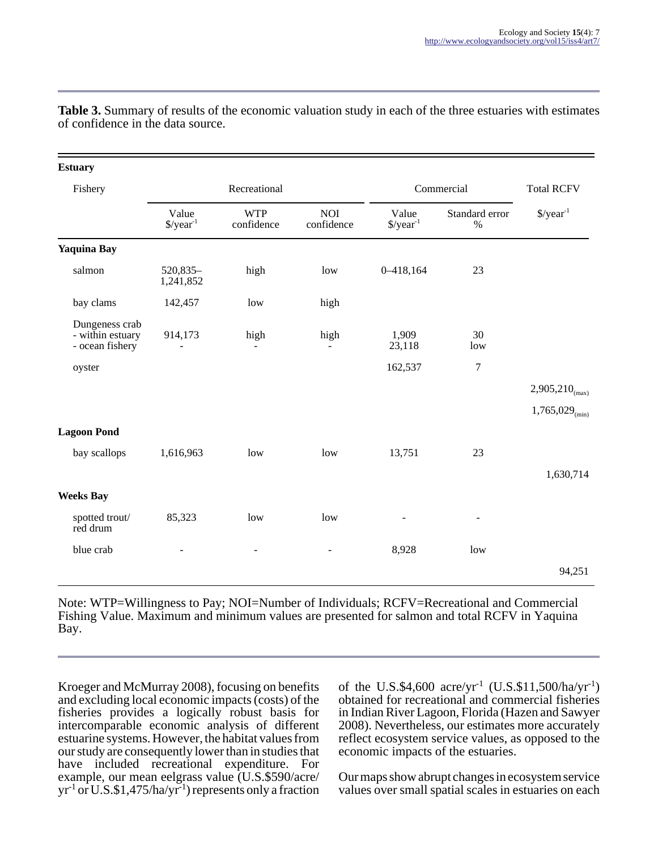| <b>Estuary</b>                                        |                                      |                          |                                  |                                      |                        |                                                   |
|-------------------------------------------------------|--------------------------------------|--------------------------|----------------------------------|--------------------------------------|------------------------|---------------------------------------------------|
| Fishery                                               |                                      | Recreational             |                                  | Commercial                           |                        | <b>Total RCFV</b>                                 |
|                                                       | Value<br>$\gamma$ year <sup>-1</sup> | <b>WTP</b><br>confidence | <b>NOI</b><br>confidence         | Value<br>$\gamma$ year <sup>-1</sup> | Standard error<br>$\%$ | $\gamma$ year <sup>1</sup>                        |
| Yaquina Bay                                           |                                      |                          |                                  |                                      |                        |                                                   |
| salmon                                                | 520,835-<br>1,241,852                | high                     | low                              | $0 - 418,164$                        | 23                     |                                                   |
| bay clams                                             | 142,457                              | low                      | high                             |                                      |                        |                                                   |
| Dungeness crab<br>- within estuary<br>- ocean fishery | 914,173                              | high<br>$\sim$           | high<br>$\overline{\phantom{a}}$ | 1,909<br>23,118                      | 30<br>low              |                                                   |
| oyster                                                |                                      |                          |                                  | 162,537                              | $\tau$                 |                                                   |
|                                                       |                                      |                          |                                  |                                      |                        | $2,905,210_{(max)}$<br>$1,765,029_{\text{(min)}}$ |
| <b>Lagoon Pond</b>                                    |                                      |                          |                                  |                                      |                        |                                                   |
| bay scallops                                          | 1,616,963                            | low                      | low                              | 13,751                               | 23                     |                                                   |
|                                                       |                                      |                          |                                  |                                      |                        | 1,630,714                                         |
| <b>Weeks Bay</b>                                      |                                      |                          |                                  |                                      |                        |                                                   |
| spotted trout/<br>red drum                            | 85,323                               | low                      | low                              |                                      | ۰                      |                                                   |
| blue crab                                             |                                      | $\overline{\phantom{a}}$ |                                  | 8,928                                | low                    |                                                   |
|                                                       |                                      |                          |                                  |                                      |                        | 94,251                                            |

**Table 3.** Summary of results of the economic valuation study in each of the three estuaries with estimates of confidence in the data source.

Note: WTP=Willingness to Pay; NOI=Number of Individuals; RCFV=Recreational and Commercial Fishing Value. Maximum and minimum values are presented for salmon and total RCFV in Yaquina Bay.

Kroeger and McMurray 2008), focusing on benefits and excluding local economic impacts (costs) of the fisheries provides a logically robust basis for intercomparable economic analysis of different estuarine systems. However, the habitat values from our study are consequently lower than in studies that have included recreational expenditure. For example, our mean eelgrass value (U.S.\$590/acre/  $yr^{-1}$  or U.S.\$1,475/ha/yr<sup>-1</sup>) represents only a fraction

of the U.S.\$4,600 acre/yr<sup>-1</sup> (U.S.\$11,500/ha/yr<sup>-1</sup>) obtained for recreational and commercial fisheries in Indian River Lagoon, Florida (Hazen and Sawyer 2008). Nevertheless, our estimates more accurately reflect ecosystem service values, as opposed to the economic impacts of the estuaries.

Our maps show abrupt changes in ecosystem service values over small spatial scales in estuaries on each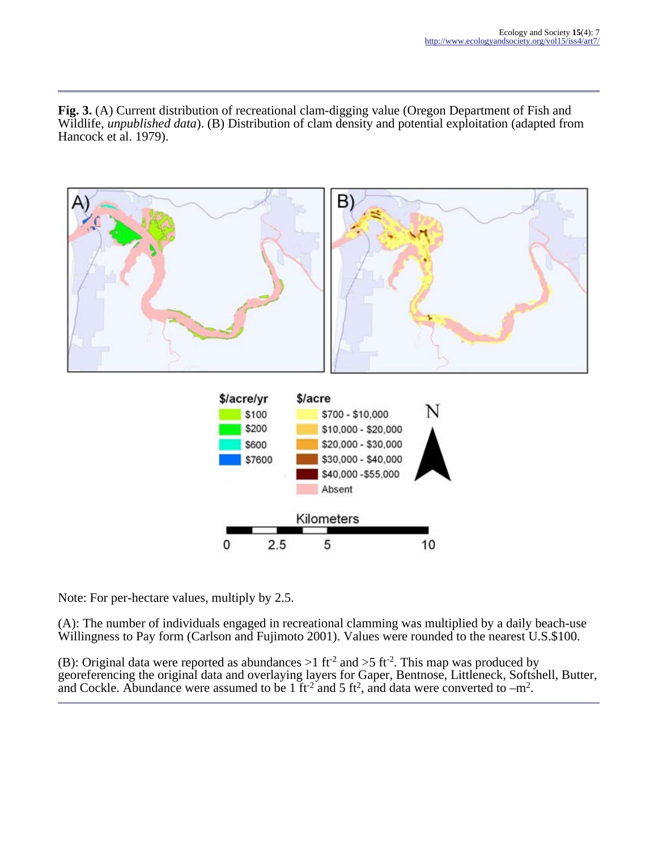**Fig. 3.** (A) Current distribution of recreational clam-digging value (Oregon Department of Fish and Wildlife, *unpublished data*). (B) Distribution of clam density and potential exploitation (adapted from Hancock et al. 1979).



Note: For per-hectare values, multiply by 2.5.

(A): The number of individuals engaged in recreational clamming was multiplied by a daily beach-use Willingness to Pay form (Carlson and Fujimoto 2001). Values were rounded to the nearest U.S.\$100.

(B): Original data were reported as abundances  $>1$  ft<sup>-2</sup> and  $>5$  ft<sup>-2</sup>. This map was produced by georeferencing the original data and overlaying layers for Gaper, Bentnose, Littleneck, Softshell, Butter, and Cockle. Abundance were assumed to be 1 ft<sup>-2</sup> and 5 ft<sup>2</sup>, and data were converted to  $-m^2$ .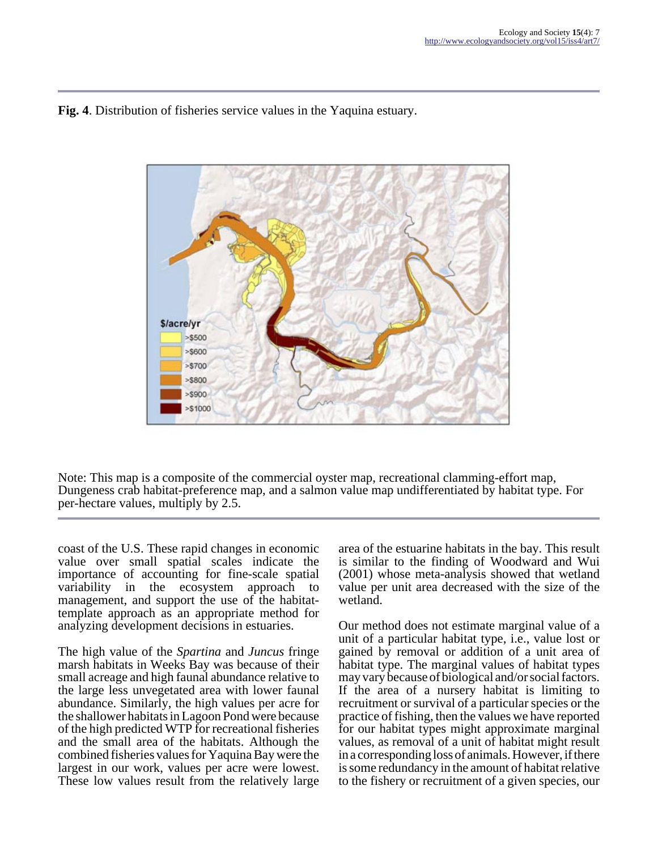

**Fig. 4**. Distribution of fisheries service values in the Yaquina estuary.

Note: This map is a composite of the commercial oyster map, recreational clamming-effort map, Dungeness crab habitat-preference map, and a salmon value map undifferentiated by habitat type. For per-hectare values, multiply by 2.5.

coast of the U.S. These rapid changes in economic value over small spatial scales indicate the importance of accounting for fine-scale spatial variability in the ecosystem approach to management, and support the use of the habitattemplate approach as an appropriate method for analyzing development decisions in estuaries.

The high value of the *Spartina* and *Juncus* fringe marsh habitats in Weeks Bay was because of their small acreage and high faunal abundance relative to the large less unvegetated area with lower faunal abundance. Similarly, the high values per acre for the shallower habitats in Lagoon Pond were because of the high predicted WTP for recreational fisheries and the small area of the habitats. Although the combined fisheries values for Yaquina Bay were the largest in our work, values per acre were lowest. These low values result from the relatively large area of the estuarine habitats in the bay. This result is similar to the finding of Woodward and Wui (2001) whose meta-analysis showed that wetland value per unit area decreased with the size of the wetland.

Our method does not estimate marginal value of a unit of a particular habitat type, i.e., value lost or gained by removal or addition of a unit area of habitat type. The marginal values of habitat types may vary because of biological and/or social factors. If the area of a nursery habitat is limiting to recruitment or survival of a particular species or the practice of fishing, then the values we have reported for our habitat types might approximate marginal values, as removal of a unit of habitat might result in a corresponding loss of animals. However, if there is some redundancy in the amount of habitat relative to the fishery or recruitment of a given species, our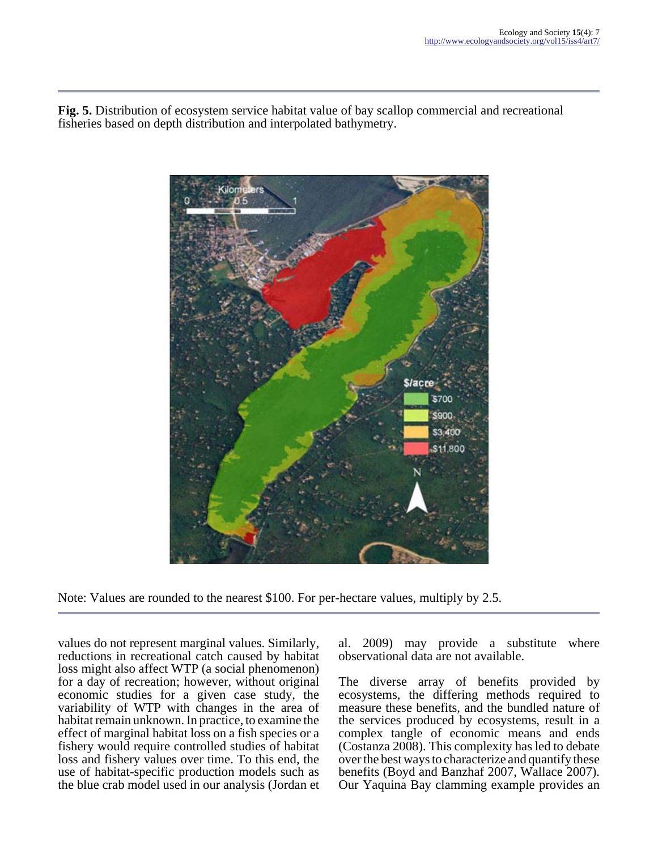**Fig. 5.** Distribution of ecosystem service habitat value of bay scallop commercial and recreational fisheries based on depth distribution and interpolated bathymetry.



Note: Values are rounded to the nearest \$100. For per-hectare values, multiply by 2.5.

values do not represent marginal values. Similarly, reductions in recreational catch caused by habitat loss might also affect WTP (a social phenomenon) for a day of recreation; however, without original economic studies for a given case study, the variability of WTP with changes in the area of habitat remain unknown. In practice, to examine the effect of marginal habitat loss on a fish species or a fishery would require controlled studies of habitat loss and fishery values over time. To this end, the use of habitat-specific production models such as the blue crab model used in our analysis (Jordan et al. 2009) may provide a substitute where observational data are not available.

The diverse array of benefits provided by ecosystems, the differing methods required to measure these benefits, and the bundled nature of the services produced by ecosystems, result in a complex tangle of economic means and ends (Costanza 2008). This complexity has led to debate over the best ways to characterize and quantify these benefits (Boyd and Banzhaf 2007, Wallace 2007). Our Yaquina Bay clamming example provides an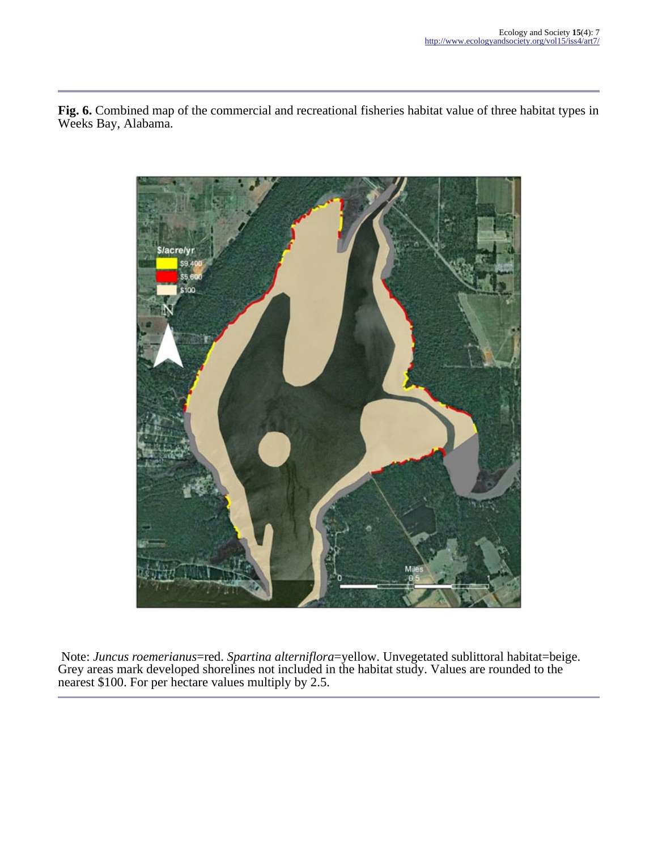**Fig. 6.** Combined map of the commercial and recreational fisheries habitat value of three habitat types in Weeks Bay, Alabama.



 Note: *Juncus roemerianus*=red. *Spartina alterniflora*=yellow. Unvegetated sublittoral habitat=beige. Grey areas mark developed shorelines not included in the habitat study. Values are rounded to the nearest \$100. For per hectare values multiply by 2.5.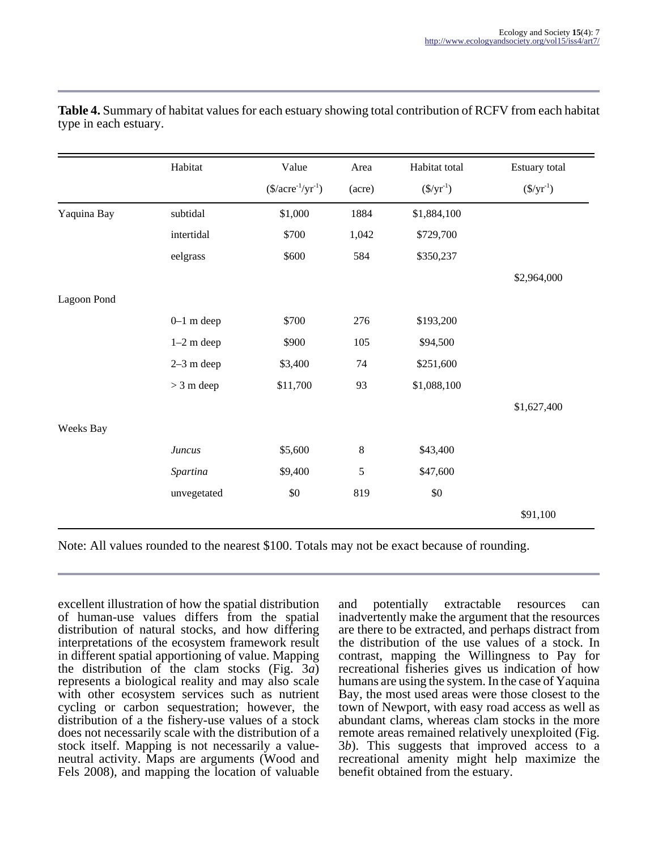|             | Habitat       | Value                    | Area       | Habitat total                | Estuary total                |
|-------------|---------------|--------------------------|------------|------------------------------|------------------------------|
|             |               | $(\$/acre^{-1}/yr^{-1})$ | (acre)     | $(\frac{\sqrt{3}}{yr^{-1}})$ | $(\frac{\sqrt{3}}{yr^{-1}})$ |
| Yaquina Bay | subtidal      | \$1,000                  | 1884       | \$1,884,100                  |                              |
|             | intertidal    | \$700                    | 1,042      | \$729,700                    |                              |
|             | eelgrass      | \$600                    | 584        | \$350,237                    |                              |
|             |               |                          |            |                              | \$2,964,000                  |
| Lagoon Pond |               |                          |            |                              |                              |
|             | $0-1$ m deep  | \$700                    | 276        | \$193,200                    |                              |
|             | $1-2$ m deep  | \$900                    | 105        | \$94,500                     |                              |
|             | $2-3$ m deep  | \$3,400                  | 74         | \$251,600                    |                              |
|             | $>$ 3 m deep  | \$11,700                 | 93         | \$1,088,100                  |                              |
|             |               |                          |            |                              | \$1,627,400                  |
| Weeks Bay   |               |                          |            |                              |                              |
|             | <b>Juncus</b> | \$5,600                  | $\,8\,$    | \$43,400                     |                              |
|             | Spartina      | \$9,400                  | $\sqrt{5}$ | \$47,600                     |                              |
|             | unvegetated   | $\$0$                    | 819        | $\$0$                        |                              |
|             |               |                          |            |                              | \$91,100                     |

**Table 4.** Summary of habitat values for each estuary showing total contribution of RCFV from each habitat type in each estuary.

Note: All values rounded to the nearest \$100. Totals may not be exact because of rounding.

excellent illustration of how the spatial distribution of human-use values differs from the spatial distribution of natural stocks, and how differing interpretations of the ecosystem framework result in different spatial apportioning of value. Mapping the distribution of the clam stocks (Fig. 3*a*) represents a biological reality and may also scale with other ecosystem services such as nutrient cycling or carbon sequestration; however, the distribution of a the fishery-use values of a stock does not necessarily scale with the distribution of a stock itself. Mapping is not necessarily a valueneutral activity. Maps are arguments (Wood and Fels 2008), and mapping the location of valuable

and potentially extractable resources can inadvertently make the argument that the resources are there to be extracted, and perhaps distract from the distribution of the use values of a stock. In contrast, mapping the Willingness to Pay for recreational fisheries gives us indication of how humans are using the system. In the case of Yaquina Bay, the most used areas were those closest to the town of Newport, with easy road access as well as abundant clams, whereas clam stocks in the more remote areas remained relatively unexploited (Fig. 3*b*). This suggests that improved access to a recreational amenity might help maximize the benefit obtained from the estuary.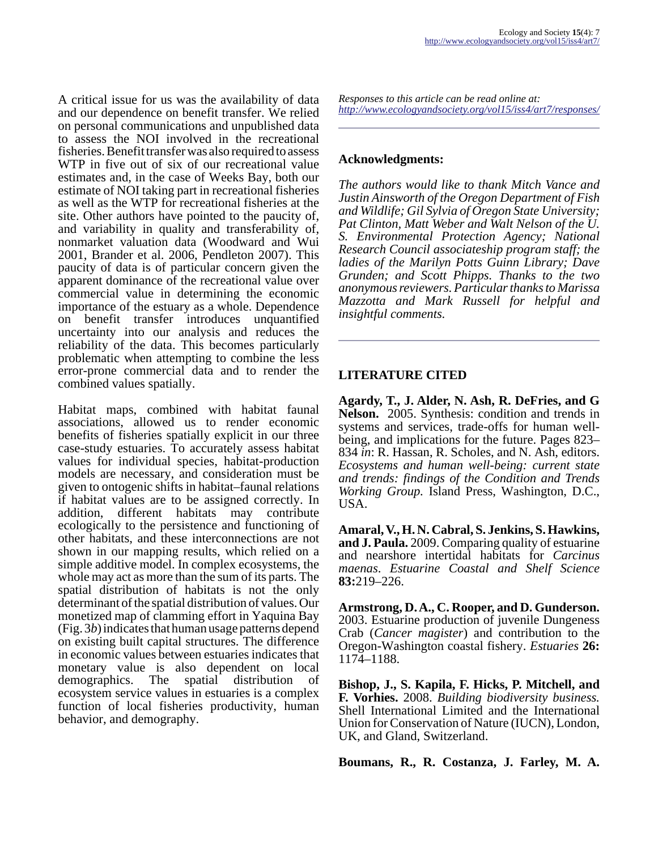A critical issue for us was the availability of data and our dependence on benefit transfer. We relied on personal communications and unpublished data to assess the NOI involved in the recreational fisheries. Benefit transfer was also required to assess WTP in five out of six of our recreational value estimates and, in the case of Weeks Bay, both our estimate of NOI taking part in recreational fisheries as well as the WTP for recreational fisheries at the site. Other authors have pointed to the paucity of, and variability in quality and transferability of, nonmarket valuation data (Woodward and Wui 2001, Brander et al. 2006, Pendleton 2007). This paucity of data is of particular concern given the apparent dominance of the recreational value over commercial value in determining the economic importance of the estuary as a whole. Dependence on benefit transfer introduces unquantified uncertainty into our analysis and reduces the reliability of the data. This becomes particularly problematic when attempting to combine the less error-prone commercial data and to render the combined values spatially.

Habitat maps, combined with habitat faunal associations, allowed us to render economic benefits of fisheries spatially explicit in our three case-study estuaries. To accurately assess habitat values for individual species, habitat-production models are necessary, and consideration must be given to ontogenic shifts in habitat–faunal relations if habitat values are to be assigned correctly. In addition, different habitats may contribute ecologically to the persistence and functioning of other habitats, and these interconnections are not shown in our mapping results, which relied on a simple additive model. In complex ecosystems, the whole may act as more than the sum of its parts. The spatial distribution of habitats is not the only determinant of the spatial distribution of values. Our monetized map of clamming effort in Yaquina Bay (Fig. 3*b*) indicates that human usage patterns depend on existing built capital structures. The difference in economic values between estuaries indicates that monetary value is also dependent on local demographics. The spatial distribution of ecosystem service values in estuaries is a complex function of local fisheries productivity, human behavior, and demography.

*Responses to this article can be read online at: <http://www.ecologyandsociety.org/vol15/iss4/art7/responses/>*

#### **Acknowledgments:**

*The authors would like to thank Mitch Vance and Justin Ainsworth of the Oregon Department of Fish and Wildlife; Gil Sylvia of Oregon State University; Pat Clinton, Matt Weber and Walt Nelson of the U. S. Environmental Protection Agency; National Research Council associateship program staff; the ladies of the Marilyn Potts Guinn Library; Dave Grunden; and Scott Phipps. Thanks to the two anonymous reviewers. Particular thanks to Marissa Mazzotta and Mark Russell for helpful and insightful comments.*

#### **LITERATURE CITED**

**Agardy, T., J. Alder, N. Ash, R. DeFries, and G Nelson.** 2005. Synthesis: condition and trends in systems and services, trade-offs for human wellbeing, and implications for the future. Pages 823– 834 *in*: R. Hassan, R. Scholes, and N. Ash, editors. *Ecosystems and human well-being: current state and trends: findings of the Condition and Trends Working Group.* Island Press, Washington, D.C., USA.

**Amaral, V., H. N. Cabral, S. Jenkins, S. Hawkins, and J. Paula.** 2009. Comparing quality of estuarine and nearshore intertidal habitats for *Carcinus maenas*. *Estuarine Coastal and Shelf Science* **83:**219–226.

**Armstrong, D. A., C. Rooper, and D. Gunderson.** 2003. Estuarine production of juvenile Dungeness Crab (*Cancer magister*) and contribution to the Oregon-Washington coastal fishery. *Estuaries* **26:** 1174–1188.

**Bishop, J., S. Kapila, F. Hicks, P. Mitchell, and F. Vorhies.** 2008. *Building biodiversity business.* Shell International Limited and the International Union for Conservation of Nature (IUCN), London, UK, and Gland, Switzerland.

**Boumans, R., R. Costanza, J. Farley, M. A.**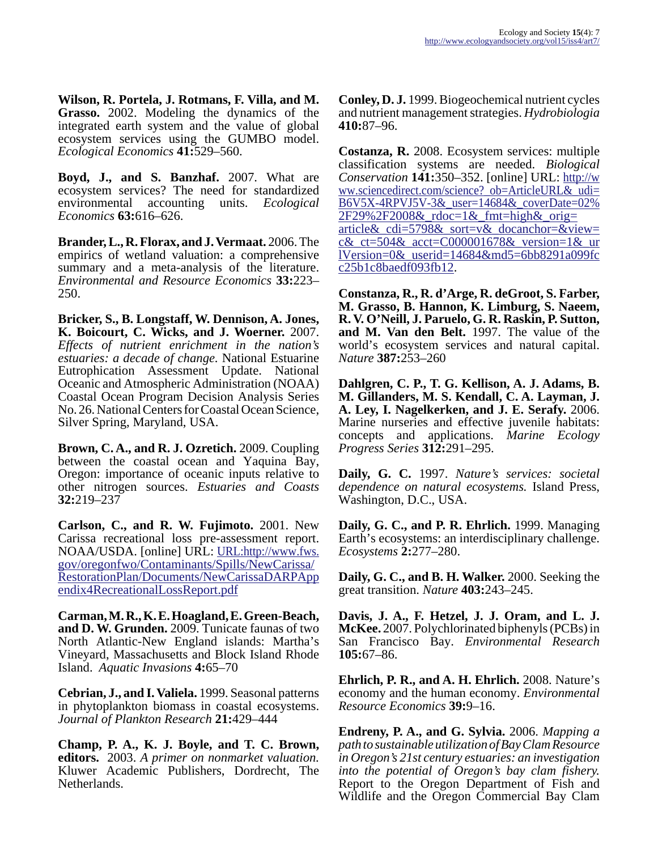**Wilson, R. Portela, J. Rotmans, F. Villa, and M. Grasso.** 2002. Modeling the dynamics of the integrated earth system and the value of global ecosystem services using the GUMBO model. *Ecological Economics* **41:**529–560.

**Boyd, J., and S. Banzhaf.** 2007. What are ecosystem services? The need for standardized environmental accounting units. *Ecological Economics* **63:**616–626.

**Brander, L., R. Florax, and J. Vermaat.** 2006. The empirics of wetland valuation: a comprehensive summary and a meta-analysis of the literature. *Environmental and Resource Economics* **33:**223– 250.

**Bricker, S., B. Longstaff, W. Dennison, A. Jones, K. Boicourt, C. Wicks, and J. Woerner.** 2007. *Effects of nutrient enrichment in the nation's estuaries: a decade of change.* National Estuarine Eutrophication Assessment Update. National Oceanic and Atmospheric Administration (NOAA) Coastal Ocean Program Decision Analysis Series No. 26. National Centers for Coastal Ocean Science, Silver Spring, Maryland, USA.

**Brown, C. A., and R. J. Ozretich.** 2009. Coupling between the coastal ocean and Yaquina Bay, Oregon: importance of oceanic inputs relative to other nitrogen sources. *Estuaries and Coasts* **32:**219–237

**Carlson, C., and R. W. Fujimoto.** 2001. New Carissa recreational loss pre-assessment report. NOAA/USDA. [online] URL: [URL:http://www.fws.](http://www.fws.gov/oregonfwo/Contaminants/Spills/NewCarissa/RestorationPlan/Documents/NewCarissaDARPAppendix4RecreationalLossReport.pdf) [gov/oregonfwo/Contaminants/Spills/NewCarissa/](http://www.fws.gov/oregonfwo/Contaminants/Spills/NewCarissa/RestorationPlan/Documents/NewCarissaDARPAppendix4RecreationalLossReport.pdf) [RestorationPlan/Documents/NewCarissaDARPApp](http://www.fws.gov/oregonfwo/Contaminants/Spills/NewCarissa/RestorationPlan/Documents/NewCarissaDARPAppendix4RecreationalLossReport.pdf) [endix4RecreationalLossReport.pdf](http://www.fws.gov/oregonfwo/Contaminants/Spills/NewCarissa/RestorationPlan/Documents/NewCarissaDARPAppendix4RecreationalLossReport.pdf)

**Carman, M. R., K. E. Hoagland, E. Green-Beach, and D. W. Grunden.** 2009. Tunicate faunas of two North Atlantic-New England islands: Martha's Vineyard, Massachusetts and Block Island Rhode Island. *Aquatic Invasions* **4:**65–70

**Cebrian, J., and I. Valiela.** 1999. Seasonal patterns in phytoplankton biomass in coastal ecosystems. *Journal of Plankton Research* **21:**429–444

**Champ, P. A., K. J. Boyle, and T. C. Brown, editors.** 2003. *A primer on nonmarket valuation.* Kluwer Academic Publishers, Dordrecht, The Netherlands.

**Conley, D. J.** 1999. Biogeochemical nutrient cycles and nutrient management strategies. *Hydrobiologia* **410:**87–96.

**Costanza, R.** 2008. Ecosystem services: multiple classification systems are needed. *Biological Conservation* **141:**350–352. [online] URL: [http://w](http://www.sciencedirect.com/science?_ob=ArticleURL&_udi=B6V5X-4RPVJ5V-3&_user=14684&_coverDate=02%2F29%2F2008&_rdoc=1&_fmt=high&_orig=article&_cdi=5798&_sort=v&_docanchor=&view=c&_ct=504&_acct=C000001678&_version=1&_urlVersion=0&_userid=14684&md5=6bb8291a099fcc25b1c8baedf093fb12) ww.sciencedirect.com/science? ob=ArticleURL&\_udi= [B6V5X-4RPVJ5V-3&\\_user=14684&\\_coverDate=02%](http://www.sciencedirect.com/science?_ob=ArticleURL&_udi=B6V5X-4RPVJ5V-3&_user=14684&_coverDate=02%2F29%2F2008&_rdoc=1&_fmt=high&_orig=article&_cdi=5798&_sort=v&_docanchor=&view=c&_ct=504&_acct=C000001678&_version=1&_urlVersion=0&_userid=14684&md5=6bb8291a099fcc25b1c8baedf093fb12)  $2F29\%2F2008\&\text{rdoc}=1\&\text{fmt}=high\&\text{orig}=$ [article&\\_cdi=5798&\\_sort=v&\\_docanchor=&view=](http://www.sciencedirect.com/science?_ob=ArticleURL&_udi=B6V5X-4RPVJ5V-3&_user=14684&_coverDate=02%2F29%2F2008&_rdoc=1&_fmt=high&_orig=article&_cdi=5798&_sort=v&_docanchor=&view=c&_ct=504&_acct=C000001678&_version=1&_urlVersion=0&_userid=14684&md5=6bb8291a099fcc25b1c8baedf093fb12) c& ct=504& acct=C000001678& version=1& ur lVersion=0&\_userid=14684&md5=6bb8291a099fc [c25b1c8baedf093fb12](http://www.sciencedirect.com/science?_ob=ArticleURL&_udi=B6V5X-4RPVJ5V-3&_user=14684&_coverDate=02%2F29%2F2008&_rdoc=1&_fmt=high&_orig=article&_cdi=5798&_sort=v&_docanchor=&view=c&_ct=504&_acct=C000001678&_version=1&_urlVersion=0&_userid=14684&md5=6bb8291a099fcc25b1c8baedf093fb12).

**Constanza, R., R. d'Arge, R. deGroot, S. Farber, M. Grasso, B. Hannon, K. Limburg, S. Naeem, R. V. O'Neill, J. Paruelo, G. R. Raskin, P. Sutton, and M. Van den Belt.** 1997. The value of the world's ecosystem services and natural capital. *Nature* **387:**253–260

**Dahlgren, C. P., T. G. Kellison, A. J. Adams, B. M. Gillanders, M. S. Kendall, C. A. Layman, J. A. Ley, I. Nagelkerken, and J. E. Serafy.** 2006. Marine nurseries and effective juvenile habitats: concepts and applications. *Marine Ecology Progress Series* **312:**291–295.

**Daily, G. C.** 1997. *Nature's services: societal dependence on natural ecosystems.* Island Press, Washington, D.C., USA.

**Daily, G. C., and P. R. Ehrlich.** 1999. Managing Earth's ecosystems: an interdisciplinary challenge. *Ecosystems* **2:**277–280.

**Daily, G. C., and B. H. Walker.** 2000. Seeking the great transition. *Nature* **403:**243–245.

**Davis, J. A., F. Hetzel, J. J. Oram, and L. J. McKee.** 2007. Polychlorinated biphenyls (PCBs) in San Francisco Bay. *Environmental Research* **105:**67–86.

**Ehrlich, P. R., and A. H. Ehrlich.** 2008. Nature's economy and the human economy. *Environmental Resource Economics* **39:**9–16.

**Endreny, P. A., and G. Sylvia.** 2006. *Mapping a path to sustainable utilization of Bay Clam Resource in Oregon's 21st century estuaries: an investigation into the potential of Oregon's bay clam fishery.* Report to the Oregon Department of Fish and Wildlife and the Oregon Commercial Bay Clam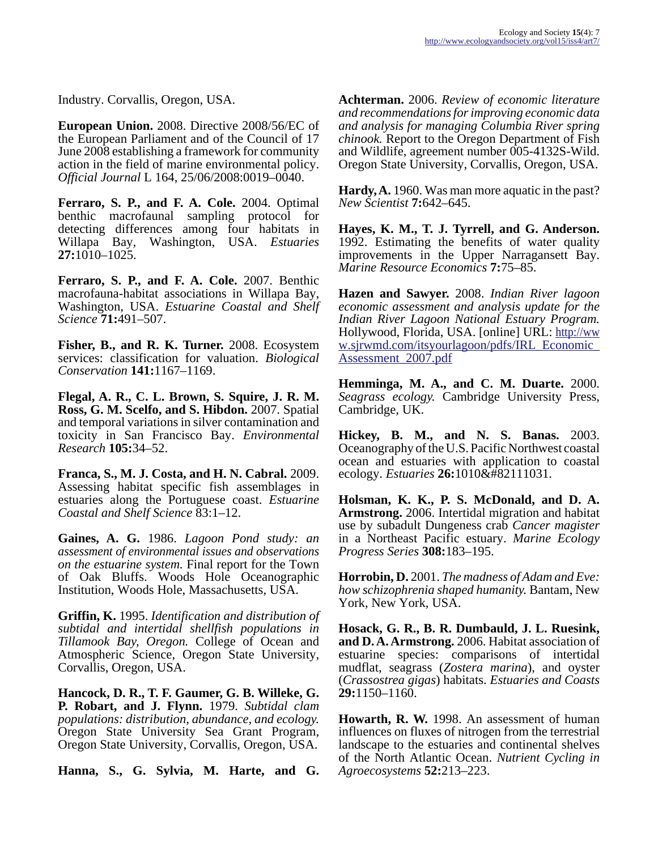Industry. Corvallis, Oregon, USA.

**European Union.** 2008. Directive 2008/56/EC of the European Parliament and of the Council of 17 June 2008 establishing a framework for community action in the field of marine environmental policy. *Official Journal* L 164, 25/06/2008:0019–0040.

**Ferraro, S. P., and F. A. Cole.** 2004. Optimal benthic macrofaunal sampling protocol for detecting differences among four habitats in Willapa Bay, Washington, USA. *Estuaries* **27:**1010–1025.

**Ferraro, S. P., and F. A. Cole.** 2007. Benthic macrofauna-habitat associations in Willapa Bay, Washington, USA. *Estuarine Coastal and Shelf Science* **71:**491–507.

**Fisher, B., and R. K. Turner.** 2008. Ecosystem services: classification for valuation. *Biological Conservation* **141:**1167–1169.

**Flegal, A. R., C. L. Brown, S. Squire, J. R. M. Ross, G. M. Scelfo, and S. Hibdon.** 2007. Spatial and temporal variations in silver contamination and toxicity in San Francisco Bay. *Environmental Research* **105:**34–52.

**Franca, S., M. J. Costa, and H. N. Cabral.** 2009. Assessing habitat specific fish assemblages in estuaries along the Portuguese coast. *Estuarine Coastal and Shelf Science* 83:1–12.

**Gaines, A. G.** 1986. *Lagoon Pond study: an assessment of environmental issues and observations on the estuarine system.* Final report for the Town of Oak Bluffs. Woods Hole Oceanographic Institution, Woods Hole, Massachusetts, USA.

**Griffin, K.** 1995. *Identification and distribution of subtidal and intertidal shellfish populations in Tillamook Bay, Oregon.* College of Ocean and Atmospheric Science, Oregon State University, Corvallis, Oregon, USA.

**Hancock, D. R., T. F. Gaumer, G. B. Willeke, G. P. Robart, and J. Flynn.** 1979. *Subtidal clam populations: distribution, abundance, and ecology.* Oregon State University Sea Grant Program, Oregon State University, Corvallis, Oregon, USA.

**Hanna, S., G. Sylvia, M. Harte, and G.**

**Achterman.** 2006. *Review of economic literature and recommendations for improving economic data and analysis for managing Columbia River spring chinook.* Report to the Oregon Department of Fish and Wildlife, agreement number 005-4132S-Wild. Oregon State University, Corvallis, Oregon, USA.

**Hardy, A.** 1960. Was man more aquatic in the past? *New Scientist* **7:**642–645.

**Hayes, K. M., T. J. Tyrrell, and G. Anderson.** 1992. Estimating the benefits of water quality improvements in the Upper Narragansett Bay. *Marine Resource Economics* **7:**75–85.

**Hazen and Sawyer.** 2008. *Indian River lagoon economic assessment and analysis update for the Indian River Lagoon National Estuary Program.* Hollywood, Florida, USA. [online] URL: [http://ww](http://www.sjrwmd.com/itsyourlagoon/pdfs/IRL_Economic_Assessment_2007.pdf) w.sjrwmd.com/itsyourlagoon/pdfs/IRL\_Economic\_ [Assessment\\_2007.pdf](http://www.sjrwmd.com/itsyourlagoon/pdfs/IRL_Economic_Assessment_2007.pdf)

**Hemminga, M. A., and C. M. Duarte.** 2000. *Seagrass ecology.* Cambridge University Press, Cambridge, UK.

**Hickey, B. M., and N. S. Banas.** 2003. Oceanography of the U.S. Pacific Northwest coastal ocean and estuaries with application to coastal ecology. *Estuaries* **26:**1010&#82111031.

**Holsman, K. K., P. S. McDonald, and D. A. Armstrong.** 2006. Intertidal migration and habitat use by subadult Dungeness crab *Cancer magister* in a Northeast Pacific estuary. *Marine Ecology Progress Series* **308:**183–195.

**Horrobin, D.** 2001. *The madness of Adam and Eve: how schizophrenia shaped humanity.* Bantam, New York, New York, USA.

**Hosack, G. R., B. R. Dumbauld, J. L. Ruesink, and D. A. Armstrong.** 2006. Habitat association of estuarine species: comparisons of intertidal mudflat, seagrass (*Zostera marina*), and oyster (*Crassostrea gigas*) habitats. *Estuaries and Coasts* **29:**1150–1160.

**Howarth, R. W.** 1998. An assessment of human influences on fluxes of nitrogen from the terrestrial landscape to the estuaries and continental shelves of the North Atlantic Ocean. *Nutrient Cycling in Agroecosystems* **52:**213–223.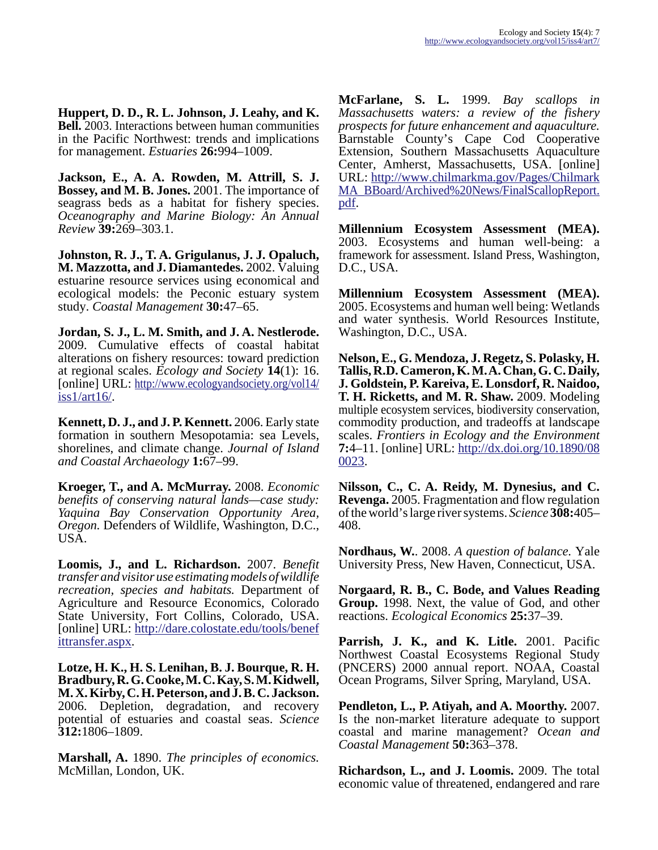**Huppert, D. D., R. L. Johnson, J. Leahy, and K. Bell.** 2003. Interactions between human communities in the Pacific Northwest: trends and implications for management. *Estuaries* **26:**994–1009.

**Jackson, E., A. A. Rowden, M. Attrill, S. J. Bossey, and M. B. Jones.** 2001. The importance of seagrass beds as a habitat for fishery species. *Oceanography and Marine Biology: An Annual Review* **39:**269–303.1.

**Johnston, R. J., T. A. Grigulanus, J. J. Opaluch, M. Mazzotta, and J. Diamantedes.** 2002. Valuing estuarine resource services using economical and ecological models: the Peconic estuary system study. *Coastal Management* **30:**47–65.

**Jordan, S. J., L. M. Smith, and J. A. Nestlerode.** 2009. Cumulative effects of coastal habitat alterations on fishery resources: toward prediction at regional scales. *Ecology and Society* **14**(1): 16. [online] URL: [http://www.ecologyandsociety.org/vol14/](http://www.ecologyandsociety.org/vol14/iss1/art16/) [iss1/art16/](http://www.ecologyandsociety.org/vol14/iss1/art16/).

**Kennett, D. J., and J. P. Kennett.** 2006. Early state formation in southern Mesopotamia: sea Levels, shorelines, and climate change. *Journal of Island and Coastal Archaeology* **1:**67–99.

**Kroeger, T., and A. McMurray.** 2008. *Economic benefits of conserving natural lands—case study: Yaquina Bay Conservation Opportunity Area, Oregon.* Defenders of Wildlife, Washington, D.C., USA.

**Loomis, J., and L. Richardson.** 2007. *Benefit transfer and visitor use estimating models of wildlife recreation, species and habitats.* Department of Agriculture and Resource Economics, Colorado State University, Fort Collins, Colorado, USA. [online] URL: [http://dare.colostate.edu/tools/benef](http://dare.colostate.edu/tools/benefittransfer.aspx) [ittransfer.aspx](http://dare.colostate.edu/tools/benefittransfer.aspx).

**Lotze, H. K., H. S. Lenihan, B. J. Bourque, R. H. Bradbury, R. G. Cooke, M. C. Kay, S. M. Kidwell, M. X. Kirby, C. H. Peterson, and J. B. C. Jackson.** 2006. Depletion, degradation, and recovery potential of estuaries and coastal seas. *Science* **312:**1806–1809.

**Marshall, A.** 1890. *The principles of economics.* McMillan, London, UK.

**McFarlane, S. L.** 1999. *Bay scallops in Massachusetts waters: a review of the fishery prospects for future enhancement and aquaculture.* Barnstable County's Cape Cod Cooperative Extension, Southern Massachusetts Aquaculture Center, Amherst, Massachusetts, USA. [online] URL: [http://www.chilmarkma.gov/Pages/Chilmark](http://www.chilmarkma.gov/Pages/ChilmarkMA_BBoard/Archived%20News/FinalScallopReport.pdf) [MA\\_BBoard/Archived%20News/FinalScallopReport.](http://www.chilmarkma.gov/Pages/ChilmarkMA_BBoard/Archived%20News/FinalScallopReport.pdf) [pdf.](http://www.chilmarkma.gov/Pages/ChilmarkMA_BBoard/Archived%20News/FinalScallopReport.pdf)

**Millennium Ecosystem Assessment (MEA).** 2003. Ecosystems and human well-being: a framework for assessment. Island Press, Washington, D.C., USA.

**Millennium Ecosystem Assessment (MEA).** 2005. Ecosystems and human well being: Wetlands and water synthesis. World Resources Institute, Washington, D.C., USA.

**Nelson, E., G. Mendoza, J. Regetz, S. Polasky, H. Tallis, R.D. Cameron, K. M. A. Chan, G. C. Daily, J. Goldstein, P. Kareiva, E. Lonsdorf, R. Naidoo, T. H. Ricketts, and M. R. Shaw.** 2009. Modeling multiple ecosystem services, biodiversity conservation, commodity production, and tradeoffs at landscape scales. *Frontiers in Ecology and the Environment* **7:**4–11. [online] URL: [http://dx.doi.org/10.1890/08](http://dx.doi.org/10.1890/080023) [0023](http://dx.doi.org/10.1890/080023).

**Nilsson, C., C. A. Reidy, M. Dynesius, and C. Revenga.** 2005. Fragmentation and flow regulation of the world's large river systems. *Science* **308:**405– 408.

**Nordhaus, W.**. 2008. *A question of balance.* Yale University Press, New Haven, Connecticut, USA.

**Norgaard, R. B., C. Bode, and Values Reading Group.** 1998. Next, the value of God, and other reactions. *Ecological Economics* **25:**37–39.

**Parrish, J. K., and K. Litle.** 2001. Pacific Northwest Coastal Ecosystems Regional Study (PNCERS) 2000 annual report. NOAA, Coastal Ocean Programs, Silver Spring, Maryland, USA.

**Pendleton, L., P. Atiyah, and A. Moorthy.** 2007. Is the non-market literature adequate to support coastal and marine management? *Ocean and Coastal Management* **50:**363–378.

**Richardson, L., and J. Loomis.** 2009. The total economic value of threatened, endangered and rare